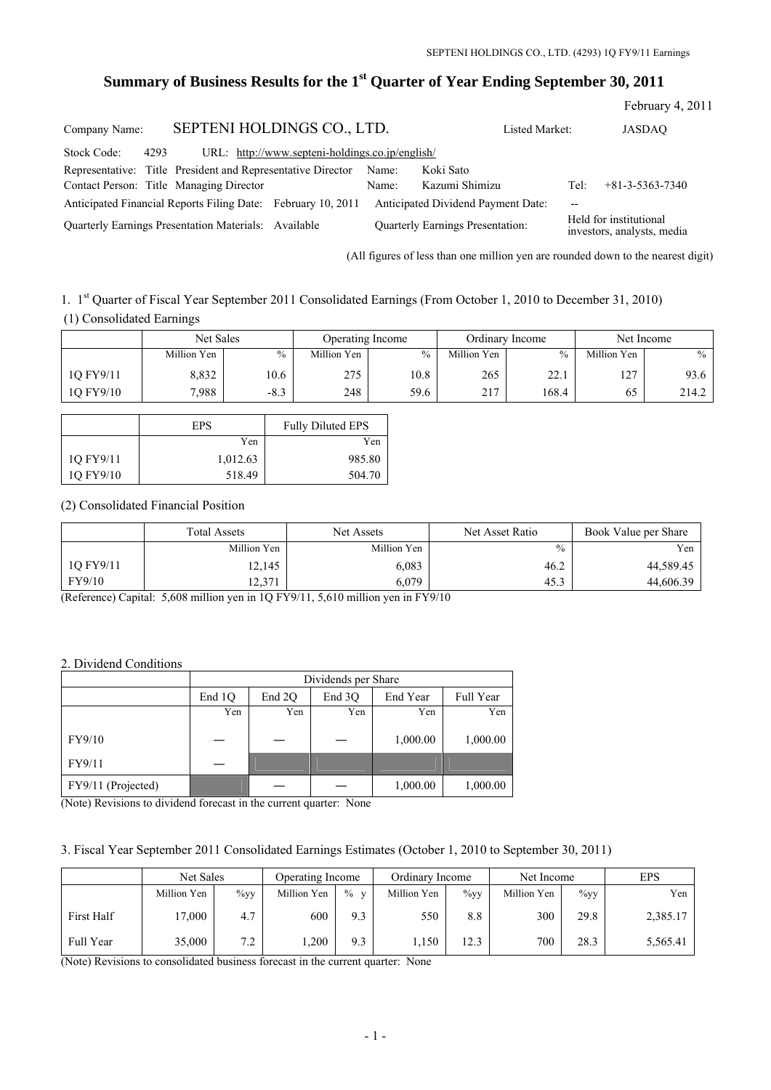# **Summary of Business Results for the 1st Quarter of Year Ending September 30, 2011**

|               |      |                                                              |                                                 |       |                                         |                |       | February 4, 2011                                     |
|---------------|------|--------------------------------------------------------------|-------------------------------------------------|-------|-----------------------------------------|----------------|-------|------------------------------------------------------|
| Company Name: |      | SEPTENI HOLDINGS CO., LTD.                                   |                                                 |       |                                         | Listed Market: |       | <b>JASDAO</b>                                        |
| Stock Code:   | 4293 |                                                              | URL: http://www.septeni-holdings.co.jp/english/ |       |                                         |                |       |                                                      |
|               |      | Representative: Title President and Representative Director  |                                                 | Name: | Koki Sato                               |                |       |                                                      |
|               |      | Contact Person: Title Managing Director                      |                                                 | Name: | Kazumi Shimizu                          |                | Tel:  | $+81 - 3 - 5363 - 7340$                              |
|               |      | Anticipated Financial Reports Filing Date: February 10, 2011 |                                                 |       | Anticipated Dividend Payment Date:      |                | $- -$ |                                                      |
|               |      | Quarterly Earnings Presentation Materials: Available         |                                                 |       | <b>Ouarterly Earnings Presentation:</b> |                |       | Held for institutional<br>investors, analysts, media |

(All figures of less than one million yen are rounded down to the nearest digit)

1. 1st Quarter of Fiscal Year September 2011 Consolidated Earnings (From October 1, 2010 to December 31, 2010) (1) Consolidated Earnings

|           |             | Net Sales | Operating Income |      |             | Ordinary Income | Net Income           |       |  |
|-----------|-------------|-----------|------------------|------|-------------|-----------------|----------------------|-------|--|
|           | Million Yen | $\%$      | Million Yen      | $\%$ | Million Yen | $\frac{0}{0}$   | Million Yen          | $\%$  |  |
| 1Q FY9/11 | 8,832       | 10.6      | 275              | 10.8 | 265         | າາ<br>44.1      | $\sqrt{7}$<br>$\sim$ | 93.6  |  |
| 1Q FY9/10 | 7,988       | $-8.3$    | 248              | 59.6 | 217         | 168.4           | 65                   | 214.2 |  |

|           | <b>EPS</b> | <b>Fully Diluted EPS</b> |  |  |  |
|-----------|------------|--------------------------|--|--|--|
|           | Yen        | Yen                      |  |  |  |
| 1Q FY9/11 | 1,012.63   | 985.80                   |  |  |  |
| 1Q FY9/10 | 518.49     | 504.70                   |  |  |  |

### (2) Consolidated Financial Position

|           | <b>Total Assets</b> | Net Assets  | Net Asset Ratio | Book Value per Share |  |
|-----------|---------------------|-------------|-----------------|----------------------|--|
|           | Million Yen         | Million Yen | $\frac{0}{0}$   | Yen                  |  |
| 1Q FY9/11 | 12,145              | 6,083       | 46.2            | 44,589.45            |  |
| FY9/10    | 12,371              | 6,079       | 45.3            | 44,606.39            |  |

(Reference) Capital: 5,608 million yen in 1Q FY9/11, 5,610 million yen in FY9/10

### 2. Dividend Conditions

|                    | Dividends per Share |        |        |          |           |  |  |  |
|--------------------|---------------------|--------|--------|----------|-----------|--|--|--|
|                    | End 1Q              | End 2O | End 3O | End Year | Full Year |  |  |  |
|                    | Yen                 | Yen    | Yen    | Yen      | Yen       |  |  |  |
| FY9/10             |                     |        |        | 1,000.00 | 1,000.00  |  |  |  |
| FY9/11             |                     |        |        |          |           |  |  |  |
| FY9/11 (Projected) |                     |        |        | 1,000.00 | 1,000.00  |  |  |  |

(Note) Revisions to dividend forecast in the current quarter: None

## 3. Fiscal Year September 2011 Consolidated Earnings Estimates (October 1, 2010 to September 30, 2011)

|            | Net Sales   |         | Operating Income |        | Ordinary Income |         | Net Income  |         | EPS      |
|------------|-------------|---------|------------------|--------|-----------------|---------|-------------|---------|----------|
|            | Million Yen | $\%$ yy | Million Yen      | $\%$ v | Million Yen     | $\%$ yy | Million Yen | $\%$ yy | Yen      |
| First Half | 17,000      | 4.7     | 600              | 9.3    | 550             | 8.8     | 300         | 29.8    | 2,385.17 |
| Full Year  | 35,000      | 7.2     | .200             | 9.3    | 1,150           | 12.3    | 700         | 28.3    | 5,565.41 |

(Note) Revisions to consolidated business forecast in the current quarter: None